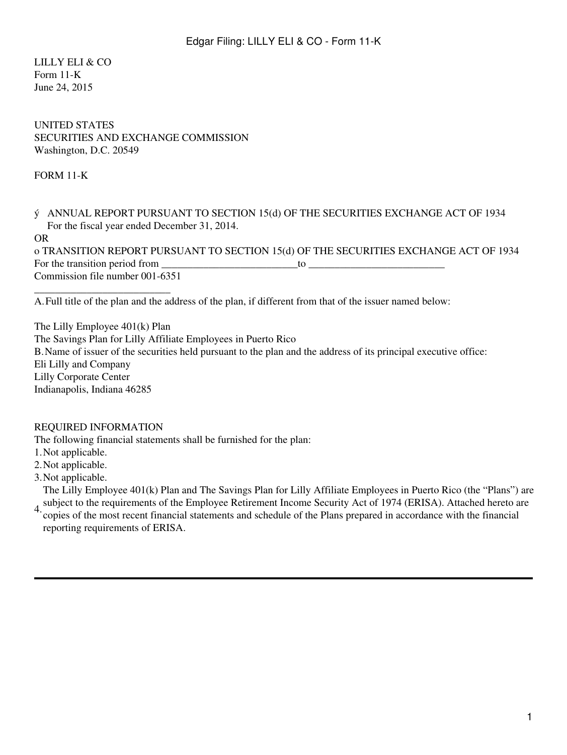LILLY ELI & CO Form 11-K June 24, 2015

#### UNITED STATES SECURITIES AND EXCHANGE COMMISSION Washington, D.C. 20549

FORM 11-K

ý ANNUAL REPORT PURSUANT TO SECTION 15(d) OF THE SECURITIES EXCHANGE ACT OF 1934 For the fiscal year ended December 31, 2014.

OR

| o TRANSITION REPORT PURSUANT TO SECTION 15(d) OF THE SECURITIES EXCHANGE ACT OF 1934 |  |
|--------------------------------------------------------------------------------------|--|
| For the transition period from                                                       |  |
| Commission file number 001-6351                                                      |  |

A.Full title of the plan and the address of the plan, if different from that of the issuer named below:

The Lilly Employee 401(k) Plan The Savings Plan for Lilly Affiliate Employees in Puerto Rico B.Name of issuer of the securities held pursuant to the plan and the address of its principal executive office: Eli Lilly and Company Lilly Corporate Center Indianapolis, Indiana 46285

#### REQUIRED INFORMATION

\_\_\_\_\_\_\_\_\_\_\_\_\_\_\_\_\_\_\_\_\_\_\_\_\_\_

The following financial statements shall be furnished for the plan:

- 1.Not applicable.
- 2.Not applicable.
- 3.Not applicable.

4. subject to the requirements of the Employee Retirement Income Security Act of 1974 (ERISA). Attached hereto are<br>4. sonice of the meet recent financial statements and sebedule of the Plans prepared in eccordance with the The Lilly Employee 401(k) Plan and The Savings Plan for Lilly Affiliate Employees in Puerto Rico (the "Plans") are

copies of the most recent financial statements and schedule of the Plans prepared in accordance with the financial reporting requirements of ERISA.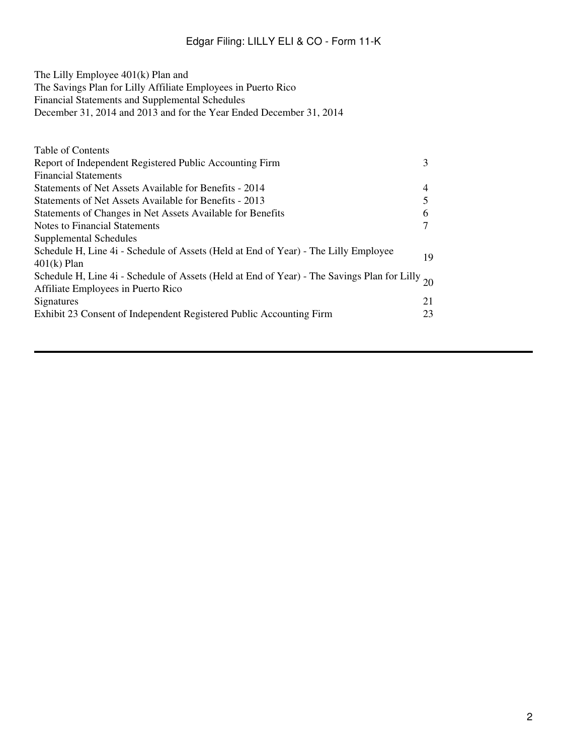The Lilly Employee 401(k) Plan and The Savings Plan for Lilly Affiliate Employees in Puerto Rico Financial Statements and Supplemental Schedules December 31, 2014 and 2013 and for the Year Ended December 31, 2014

| Table of Contents                                                                                   |    |
|-----------------------------------------------------------------------------------------------------|----|
| Report of Independent Registered Public Accounting Firm                                             | 3  |
| <b>Financial Statements</b>                                                                         |    |
| Statements of Net Assets Available for Benefits - 2014                                              | 4  |
| Statements of Net Assets Available for Benefits - 2013                                              |    |
| Statements of Changes in Net Assets Available for Benefits                                          | 6  |
| Notes to Financial Statements                                                                       |    |
| <b>Supplemental Schedules</b>                                                                       |    |
| Schedule H, Line 4i - Schedule of Assets (Held at End of Year) - The Lilly Employee                 | 19 |
| $401(k)$ Plan                                                                                       |    |
| Schedule H, Line 4i - Schedule of Assets (Held at End of Year) - The Savings Plan for Lilly $_{20}$ |    |
| Affiliate Employees in Puerto Rico                                                                  |    |
| <b>Signatures</b>                                                                                   | 21 |
| Exhibit 23 Consent of Independent Registered Public Accounting Firm                                 | 23 |
|                                                                                                     |    |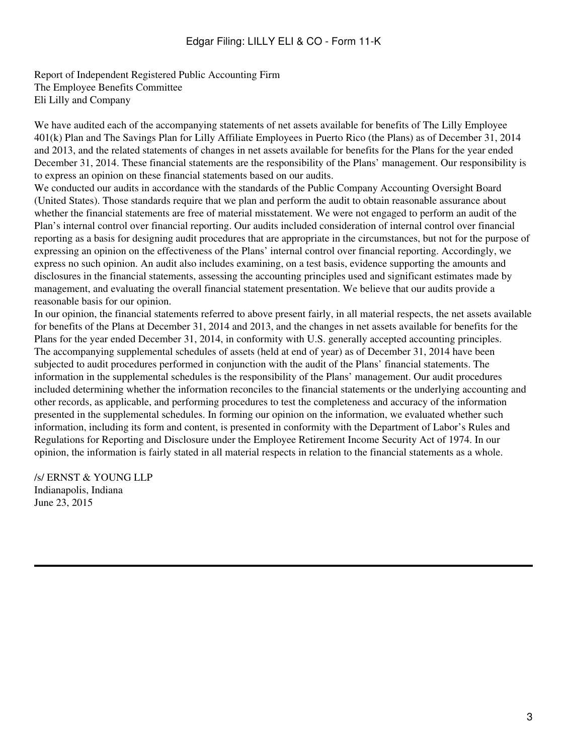Report of Independent Registered Public Accounting Firm The Employee Benefits Committee Eli Lilly and Company

We have audited each of the accompanying statements of net assets available for benefits of The Lilly Employee 401(k) Plan and The Savings Plan for Lilly Affiliate Employees in Puerto Rico (the Plans) as of December 31, 2014 and 2013, and the related statements of changes in net assets available for benefits for the Plans for the year ended December 31, 2014. These financial statements are the responsibility of the Plans' management. Our responsibility is to express an opinion on these financial statements based on our audits.

We conducted our audits in accordance with the standards of the Public Company Accounting Oversight Board (United States). Those standards require that we plan and perform the audit to obtain reasonable assurance about whether the financial statements are free of material misstatement. We were not engaged to perform an audit of the Plan's internal control over financial reporting. Our audits included consideration of internal control over financial reporting as a basis for designing audit procedures that are appropriate in the circumstances, but not for the purpose of expressing an opinion on the effectiveness of the Plans' internal control over financial reporting. Accordingly, we express no such opinion. An audit also includes examining, on a test basis, evidence supporting the amounts and disclosures in the financial statements, assessing the accounting principles used and significant estimates made by management, and evaluating the overall financial statement presentation. We believe that our audits provide a reasonable basis for our opinion.

In our opinion, the financial statements referred to above present fairly, in all material respects, the net assets available for benefits of the Plans at December 31, 2014 and 2013, and the changes in net assets available for benefits for the Plans for the year ended December 31, 2014, in conformity with U.S. generally accepted accounting principles. The accompanying supplemental schedules of assets (held at end of year) as of December 31, 2014 have been subjected to audit procedures performed in conjunction with the audit of the Plans' financial statements. The information in the supplemental schedules is the responsibility of the Plans' management. Our audit procedures included determining whether the information reconciles to the financial statements or the underlying accounting and other records, as applicable, and performing procedures to test the completeness and accuracy of the information presented in the supplemental schedules. In forming our opinion on the information, we evaluated whether such information, including its form and content, is presented in conformity with the Department of Labor's Rules and Regulations for Reporting and Disclosure under the Employee Retirement Income Security Act of 1974. In our opinion, the information is fairly stated in all material respects in relation to the financial statements as a whole.

/s/ ERNST & YOUNG LLP Indianapolis, Indiana June 23, 2015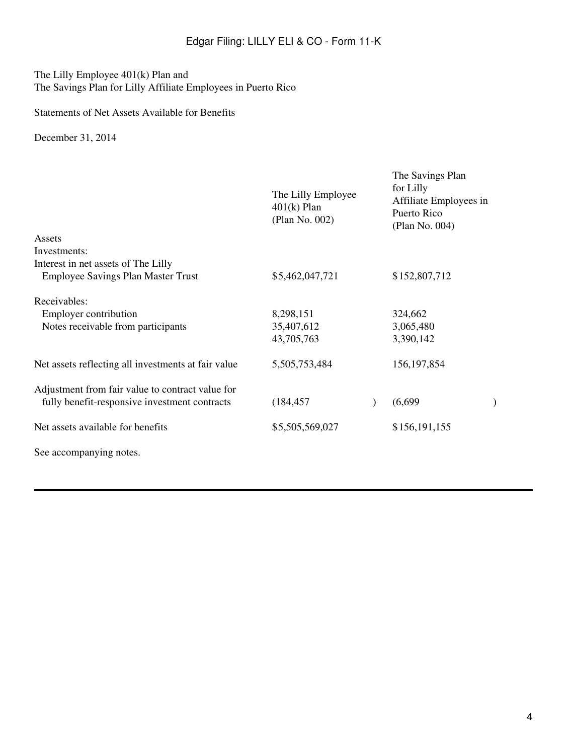The Lilly Employee 401(k) Plan and The Savings Plan for Lilly Affiliate Employees in Puerto Rico

## Statements of Net Assets Available for Benefits

December 31, 2014

|                                                     | The Lilly Employee<br>$401(k)$ Plan<br>(Plan No. 002) | The Savings Plan<br>for Lilly<br>Affiliate Employees in<br>Puerto Rico<br>(Plan No. 004) |
|-----------------------------------------------------|-------------------------------------------------------|------------------------------------------------------------------------------------------|
| Assets                                              |                                                       |                                                                                          |
| Investments:                                        |                                                       |                                                                                          |
| Interest in net assets of The Lilly                 |                                                       |                                                                                          |
| <b>Employee Savings Plan Master Trust</b>           | \$5,462,047,721                                       | \$152,807,712                                                                            |
| Receivables:                                        |                                                       |                                                                                          |
| Employer contribution                               | 8,298,151                                             | 324,662                                                                                  |
| Notes receivable from participants                  | 35,407,612                                            | 3,065,480                                                                                |
|                                                     | 43,705,763                                            | 3,390,142                                                                                |
| Net assets reflecting all investments at fair value | 5,505,753,484                                         | 156, 197, 854                                                                            |
| Adjustment from fair value to contract value for    |                                                       |                                                                                          |
| fully benefit-responsive investment contracts       | (184, 457)                                            | (6,699)<br>$\mathcal{E}$                                                                 |
| Net assets available for benefits                   | \$5,505,569,027                                       | \$156,191,155                                                                            |
| See accompanying notes.                             |                                                       |                                                                                          |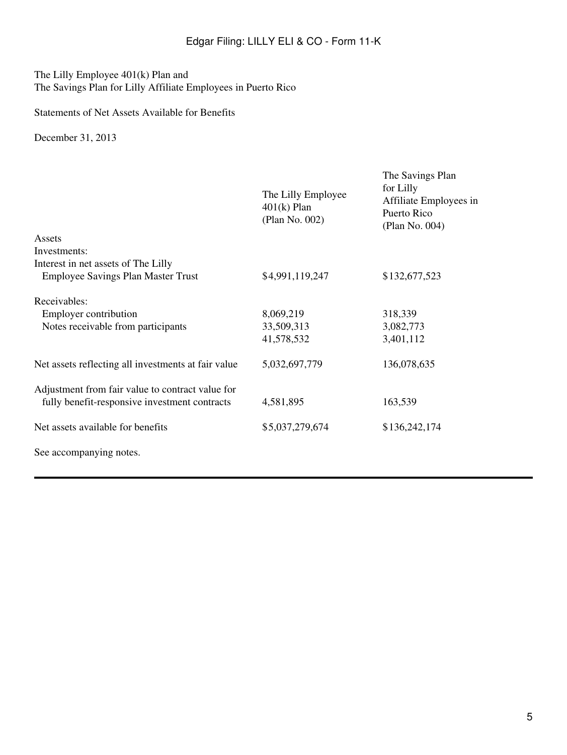The Lilly Employee 401(k) Plan and The Savings Plan for Lilly Affiliate Employees in Puerto Rico

## Statements of Net Assets Available for Benefits

December 31, 2013

|                                                     | The Lilly Employee<br>$401(k)$ Plan<br>(Plan No. 002) | The Savings Plan<br>for Lilly<br>Affiliate Employees in<br>Puerto Rico<br>(Plan No. 004) |
|-----------------------------------------------------|-------------------------------------------------------|------------------------------------------------------------------------------------------|
| Assets                                              |                                                       |                                                                                          |
| Investments:                                        |                                                       |                                                                                          |
| Interest in net assets of The Lilly                 |                                                       |                                                                                          |
| <b>Employee Savings Plan Master Trust</b>           | \$4,991,119,247                                       | \$132,677,523                                                                            |
| Receivables:                                        |                                                       |                                                                                          |
| Employer contribution                               | 8,069,219                                             | 318,339                                                                                  |
| Notes receivable from participants                  | 33,509,313                                            | 3,082,773                                                                                |
|                                                     | 41,578,532                                            | 3,401,112                                                                                |
| Net assets reflecting all investments at fair value | 5,032,697,779                                         | 136,078,635                                                                              |
| Adjustment from fair value to contract value for    |                                                       |                                                                                          |
| fully benefit-responsive investment contracts       | 4,581,895                                             | 163,539                                                                                  |
| Net assets available for benefits                   | \$5,037,279,674                                       | \$136,242,174                                                                            |
| See accompanying notes.                             |                                                       |                                                                                          |
|                                                     |                                                       |                                                                                          |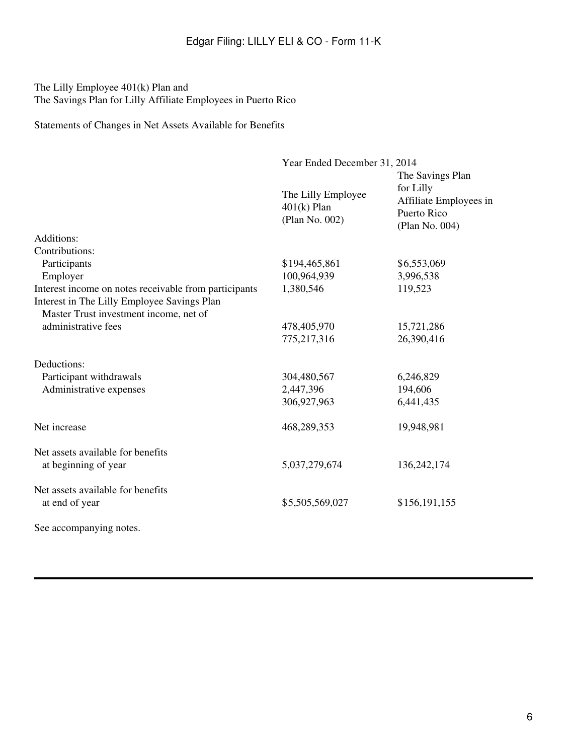The Lilly Employee 401(k) Plan and The Savings Plan for Lilly Affiliate Employees in Puerto Rico

Statements of Changes in Net Assets Available for Benefits

| Year Ended December 31, 2014                          |                                                                                          |  |
|-------------------------------------------------------|------------------------------------------------------------------------------------------|--|
| The Lilly Employee<br>$401(k)$ Plan<br>(Plan No. 002) | The Savings Plan<br>for Lilly<br>Affiliate Employees in<br>Puerto Rico<br>(Plan No. 004) |  |
|                                                       |                                                                                          |  |
|                                                       |                                                                                          |  |
|                                                       | \$6,553,069                                                                              |  |
|                                                       | 3,996,538                                                                                |  |
|                                                       | 119,523                                                                                  |  |
|                                                       |                                                                                          |  |
|                                                       |                                                                                          |  |
|                                                       | 15,721,286                                                                               |  |
|                                                       | 26,390,416                                                                               |  |
|                                                       |                                                                                          |  |
| 304,480,567                                           | 6,246,829                                                                                |  |
| 2,447,396                                             | 194,606                                                                                  |  |
| 306,927,963                                           | 6,441,435                                                                                |  |
| 468,289,353                                           | 19,948,981                                                                               |  |
|                                                       |                                                                                          |  |
| 5,037,279,674                                         | 136,242,174                                                                              |  |
|                                                       |                                                                                          |  |
| \$5,505,569,027                                       | \$156,191,155                                                                            |  |
|                                                       |                                                                                          |  |
|                                                       | \$194,465,861<br>100,964,939<br>1,380,546<br>478,405,970<br>775,217,316                  |  |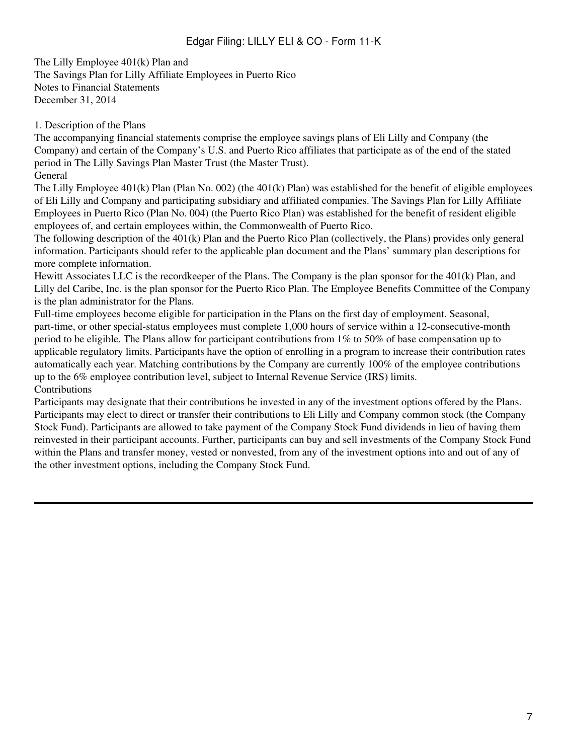The Lilly Employee 401(k) Plan and The Savings Plan for Lilly Affiliate Employees in Puerto Rico Notes to Financial Statements December 31, 2014

1. Description of the Plans

The accompanying financial statements comprise the employee savings plans of Eli Lilly and Company (the Company) and certain of the Company's U.S. and Puerto Rico affiliates that participate as of the end of the stated period in The Lilly Savings Plan Master Trust (the Master Trust). General

The Lilly Employee 401(k) Plan (Plan No. 002) (the 401(k) Plan) was established for the benefit of eligible employees of Eli Lilly and Company and participating subsidiary and affiliated companies. The Savings Plan for Lilly Affiliate Employees in Puerto Rico (Plan No. 004) (the Puerto Rico Plan) was established for the benefit of resident eligible employees of, and certain employees within, the Commonwealth of Puerto Rico.

The following description of the 401(k) Plan and the Puerto Rico Plan (collectively, the Plans) provides only general information. Participants should refer to the applicable plan document and the Plans' summary plan descriptions for more complete information.

Hewitt Associates LLC is the recordkeeper of the Plans. The Company is the plan sponsor for the 401(k) Plan, and Lilly del Caribe, Inc. is the plan sponsor for the Puerto Rico Plan. The Employee Benefits Committee of the Company is the plan administrator for the Plans.

Full-time employees become eligible for participation in the Plans on the first day of employment. Seasonal, part-time, or other special-status employees must complete 1,000 hours of service within a 12-consecutive-month period to be eligible. The Plans allow for participant contributions from 1% to 50% of base compensation up to applicable regulatory limits. Participants have the option of enrolling in a program to increase their contribution rates automatically each year. Matching contributions by the Company are currently 100% of the employee contributions up to the 6% employee contribution level, subject to Internal Revenue Service (IRS) limits. Contributions

Participants may designate that their contributions be invested in any of the investment options offered by the Plans. Participants may elect to direct or transfer their contributions to Eli Lilly and Company common stock (the Company Stock Fund). Participants are allowed to take payment of the Company Stock Fund dividends in lieu of having them reinvested in their participant accounts. Further, participants can buy and sell investments of the Company Stock Fund within the Plans and transfer money, vested or nonvested, from any of the investment options into and out of any of the other investment options, including the Company Stock Fund.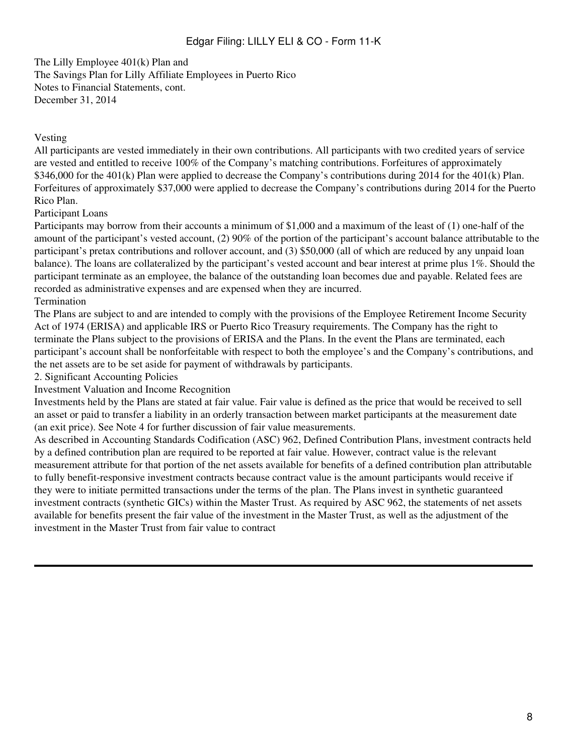The Lilly Employee 401(k) Plan and The Savings Plan for Lilly Affiliate Employees in Puerto Rico Notes to Financial Statements, cont. December 31, 2014

#### Vesting

All participants are vested immediately in their own contributions. All participants with two credited years of service are vested and entitled to receive 100% of the Company's matching contributions. Forfeitures of approximately \$346,000 for the 401(k) Plan were applied to decrease the Company's contributions during 2014 for the 401(k) Plan. Forfeitures of approximately \$37,000 were applied to decrease the Company's contributions during 2014 for the Puerto Rico Plan.

#### Participant Loans

Participants may borrow from their accounts a minimum of \$1,000 and a maximum of the least of (1) one-half of the amount of the participant's vested account, (2) 90% of the portion of the participant's account balance attributable to the participant's pretax contributions and rollover account, and (3) \$50,000 (all of which are reduced by any unpaid loan balance). The loans are collateralized by the participant's vested account and bear interest at prime plus 1%. Should the participant terminate as an employee, the balance of the outstanding loan becomes due and payable. Related fees are recorded as administrative expenses and are expensed when they are incurred. **Termination** 

The Plans are subject to and are intended to comply with the provisions of the Employee Retirement Income Security Act of 1974 (ERISA) and applicable IRS or Puerto Rico Treasury requirements. The Company has the right to terminate the Plans subject to the provisions of ERISA and the Plans. In the event the Plans are terminated, each participant's account shall be nonforfeitable with respect to both the employee's and the Company's contributions, and the net assets are to be set aside for payment of withdrawals by participants.

2. Significant Accounting Policies

#### Investment Valuation and Income Recognition

Investments held by the Plans are stated at fair value. Fair value is defined as the price that would be received to sell an asset or paid to transfer a liability in an orderly transaction between market participants at the measurement date (an exit price). See Note 4 for further discussion of fair value measurements.

As described in Accounting Standards Codification (ASC) 962, Defined Contribution Plans, investment contracts held by a defined contribution plan are required to be reported at fair value. However, contract value is the relevant measurement attribute for that portion of the net assets available for benefits of a defined contribution plan attributable to fully benefit-responsive investment contracts because contract value is the amount participants would receive if they were to initiate permitted transactions under the terms of the plan. The Plans invest in synthetic guaranteed investment contracts (synthetic GICs) within the Master Trust. As required by ASC 962, the statements of net assets available for benefits present the fair value of the investment in the Master Trust, as well as the adjustment of the investment in the Master Trust from fair value to contract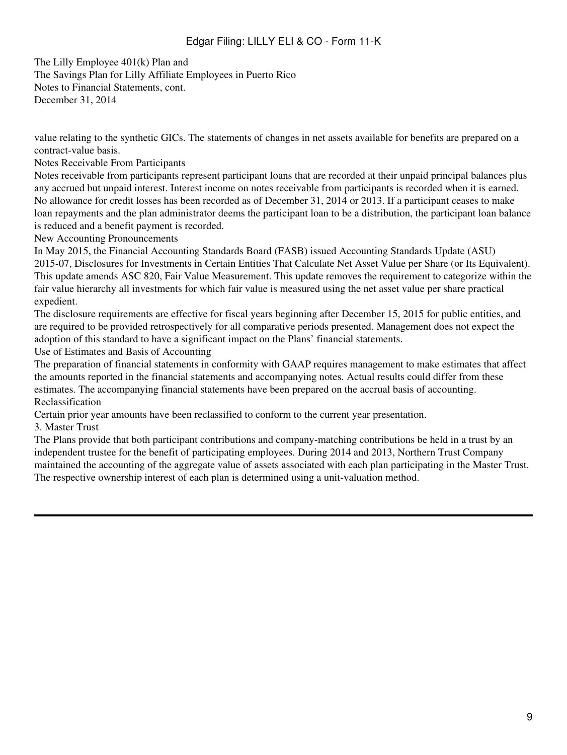The Lilly Employee 401(k) Plan and The Savings Plan for Lilly Affiliate Employees in Puerto Rico Notes to Financial Statements, cont. December 31, 2014

value relating to the synthetic GICs. The statements of changes in net assets available for benefits are prepared on a contract-value basis.

Notes Receivable From Participants

Notes receivable from participants represent participant loans that are recorded at their unpaid principal balances plus any accrued but unpaid interest. Interest income on notes receivable from participants is recorded when it is earned. No allowance for credit losses has been recorded as of December 31, 2014 or 2013. If a participant ceases to make loan repayments and the plan administrator deems the participant loan to be a distribution, the participant loan balance is reduced and a benefit payment is recorded.

New Accounting Pronouncements

In May 2015, the Financial Accounting Standards Board (FASB) issued Accounting Standards Update (ASU) 2015-07, Disclosures for Investments in Certain Entities That Calculate Net Asset Value per Share (or Its Equivalent). This update amends ASC 820, Fair Value Measurement. This update removes the requirement to categorize within the fair value hierarchy all investments for which fair value is measured using the net asset value per share practical expedient.

The disclosure requirements are effective for fiscal years beginning after December 15, 2015 for public entities, and are required to be provided retrospectively for all comparative periods presented. Management does not expect the adoption of this standard to have a significant impact on the Plans' financial statements.

Use of Estimates and Basis of Accounting

The preparation of financial statements in conformity with GAAP requires management to make estimates that affect the amounts reported in the financial statements and accompanying notes. Actual results could differ from these estimates. The accompanying financial statements have been prepared on the accrual basis of accounting. Reclassification

Certain prior year amounts have been reclassified to conform to the current year presentation.

3. Master Trust

The Plans provide that both participant contributions and company-matching contributions be held in a trust by an independent trustee for the benefit of participating employees. During 2014 and 2013, Northern Trust Company maintained the accounting of the aggregate value of assets associated with each plan participating in the Master Trust. The respective ownership interest of each plan is determined using a unit-valuation method.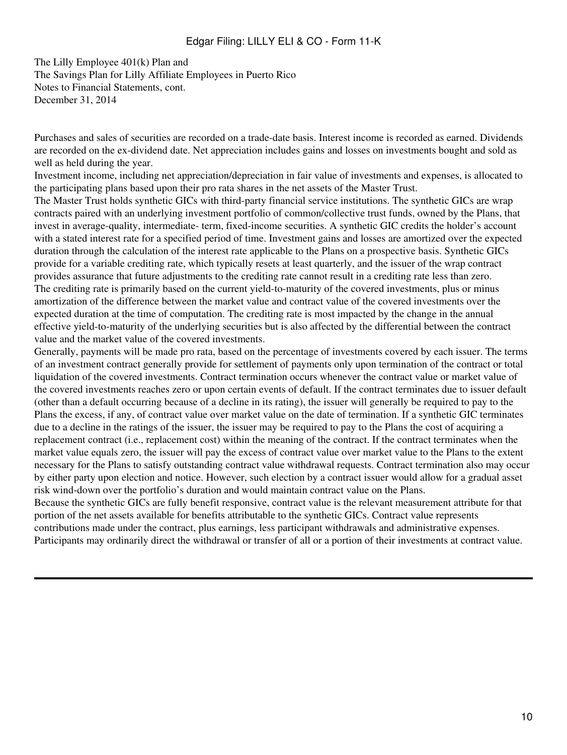The Lilly Employee 401(k) Plan and The Savings Plan for Lilly Affiliate Employees in Puerto Rico Notes to Financial Statements, cont. December 31, 2014

Purchases and sales of securities are recorded on a trade-date basis. Interest income is recorded as earned. Dividends are recorded on the ex-dividend date. Net appreciation includes gains and losses on investments bought and sold as well as held during the year.

Investment income, including net appreciation/depreciation in fair value of investments and expenses, is allocated to the participating plans based upon their pro rata shares in the net assets of the Master Trust.

The Master Trust holds synthetic GICs with third-party financial service institutions. The synthetic GICs are wrap contracts paired with an underlying investment portfolio of common/collective trust funds, owned by the Plans, that invest in average-quality, intermediate- term, fixed-income securities. A synthetic GIC credits the holder's account with a stated interest rate for a specified period of time. Investment gains and losses are amortized over the expected duration through the calculation of the interest rate applicable to the Plans on a prospective basis. Synthetic GICs provide for a variable crediting rate, which typically resets at least quarterly, and the issuer of the wrap contract provides assurance that future adjustments to the crediting rate cannot result in a crediting rate less than zero. The crediting rate is primarily based on the current yield-to-maturity of the covered investments, plus or minus amortization of the difference between the market value and contract value of the covered investments over the expected duration at the time of computation. The crediting rate is most impacted by the change in the annual effective yield-to-maturity of the underlying securities but is also affected by the differential between the contract value and the market value of the covered investments.

Generally, payments will be made pro rata, based on the percentage of investments covered by each issuer. The terms of an investment contract generally provide for settlement of payments only upon termination of the contract or total liquidation of the covered investments. Contract termination occurs whenever the contract value or market value of the covered investments reaches zero or upon certain events of default. If the contract terminates due to issuer default (other than a default occurring because of a decline in its rating), the issuer will generally be required to pay to the Plans the excess, if any, of contract value over market value on the date of termination. If a synthetic GIC terminates due to a decline in the ratings of the issuer, the issuer may be required to pay to the Plans the cost of acquiring a replacement contract (i.e., replacement cost) within the meaning of the contract. If the contract terminates when the market value equals zero, the issuer will pay the excess of contract value over market value to the Plans to the extent necessary for the Plans to satisfy outstanding contract value withdrawal requests. Contract termination also may occur by either party upon election and notice. However, such election by a contract issuer would allow for a gradual asset risk wind-down over the portfolio's duration and would maintain contract value on the Plans.

Because the synthetic GICs are fully benefit responsive, contract value is the relevant measurement attribute for that portion of the net assets available for benefits attributable to the synthetic GICs. Contract value represents contributions made under the contract, plus earnings, less participant withdrawals and administrative expenses. Participants may ordinarily direct the withdrawal or transfer of all or a portion of their investments at contract value.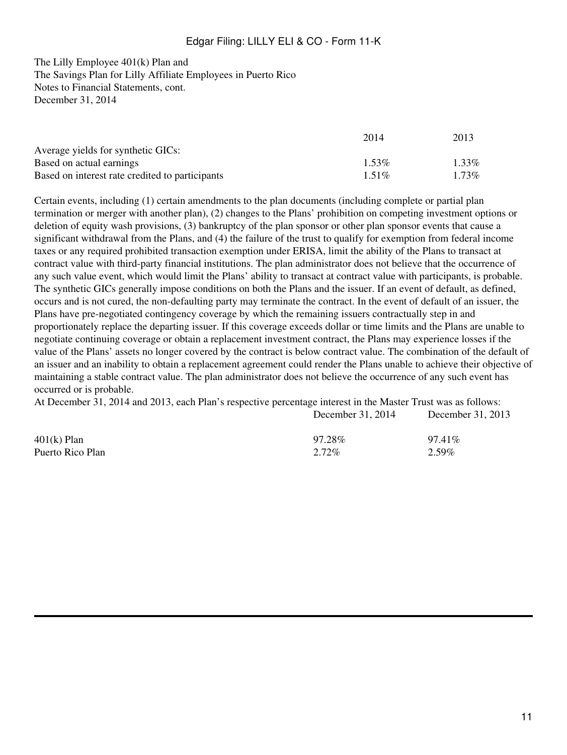The Lilly Employee 401(k) Plan and The Savings Plan for Lilly Affiliate Employees in Puerto Rico Notes to Financial Statements, cont. December 31, 2014

|                                                 | 2014     | 2013     |
|-------------------------------------------------|----------|----------|
| Average yields for synthetic GICs:              |          |          |
| Based on actual earnings                        | $1.53\%$ | $1.33\%$ |
| Based on interest rate credited to participants | 1.51\%   | $1.73\%$ |

Certain events, including (1) certain amendments to the plan documents (including complete or partial plan termination or merger with another plan), (2) changes to the Plans' prohibition on competing investment options or deletion of equity wash provisions, (3) bankruptcy of the plan sponsor or other plan sponsor events that cause a significant withdrawal from the Plans, and (4) the failure of the trust to qualify for exemption from federal income taxes or any required prohibited transaction exemption under ERISA, limit the ability of the Plans to transact at contract value with third-party financial institutions. The plan administrator does not believe that the occurrence of any such value event, which would limit the Plans' ability to transact at contract value with participants, is probable. The synthetic GICs generally impose conditions on both the Plans and the issuer. If an event of default, as defined, occurs and is not cured, the non-defaulting party may terminate the contract. In the event of default of an issuer, the Plans have pre-negotiated contingency coverage by which the remaining issuers contractually step in and proportionately replace the departing issuer. If this coverage exceeds dollar or time limits and the Plans are unable to negotiate continuing coverage or obtain a replacement investment contract, the Plans may experience losses if the value of the Plans' assets no longer covered by the contract is below contract value. The combination of the default of an issuer and an inability to obtain a replacement agreement could render the Plans unable to achieve their objective of maintaining a stable contract value. The plan administrator does not believe the occurrence of any such event has occurred or is probable.

At December 31, 2014 and 2013, each Plan's respective percentage interest in the Master Trust was as follows:

December 31, 2014 December 31, 2013

| 401(k) Plan      | 97.28% | 97.41% |
|------------------|--------|--------|
| Puerto Rico Plan | 2.72%  | 2.59%  |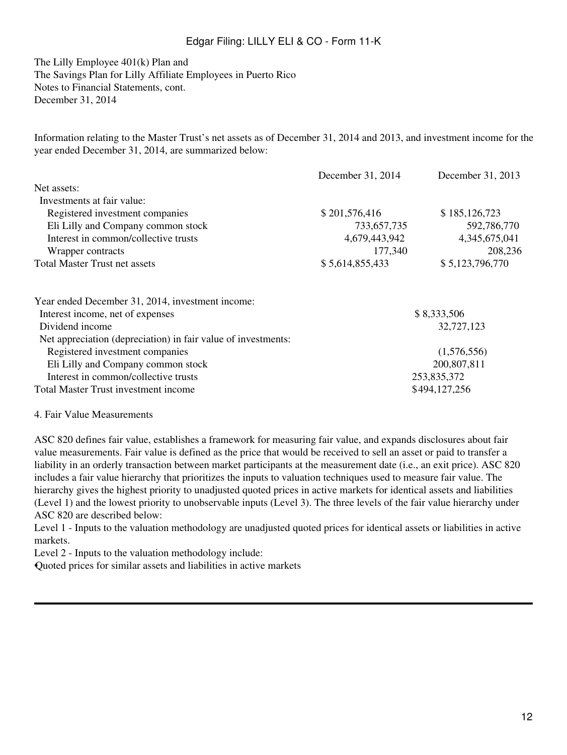The Lilly Employee 401(k) Plan and The Savings Plan for Lilly Affiliate Employees in Puerto Rico Notes to Financial Statements, cont. December 31, 2014

Information relating to the Master Trust's net assets as of December 31, 2014 and 2013, and investment income for the year ended December 31, 2014, are summarized below:

|                                                               | December 31, 2014 | December 31, 2013 |
|---------------------------------------------------------------|-------------------|-------------------|
| Net assets:                                                   |                   |                   |
| Investments at fair value:                                    |                   |                   |
| Registered investment companies                               | \$201,576,416     | \$185,126,723     |
| Eli Lilly and Company common stock                            | 733,657,735       | 592,786,770       |
| Interest in common/collective trusts                          | 4,679,443,942     | 4,345,675,041     |
| Wrapper contracts                                             | 177,340           | 208,236           |
| <b>Total Master Trust net assets</b>                          | \$5,614,855,433   | \$5,123,796,770   |
|                                                               |                   |                   |
| Year ended December 31, 2014, investment income:              |                   |                   |
| Interest income, net of expenses                              |                   | \$8,333,506       |
| Dividend income                                               |                   | 32,727,123        |
| Net appreciation (depreciation) in fair value of investments: |                   |                   |
| Registered investment companies                               |                   | (1,576,556)       |
| Eli Lilly and Company common stock                            |                   | 200,807,811       |
| Interest in common/collective trusts                          |                   | 253,835,372       |
| Total Master Trust investment income                          |                   | \$494,127,256     |

4. Fair Value Measurements

ASC 820 defines fair value, establishes a framework for measuring fair value, and expands disclosures about fair value measurements. Fair value is defined as the price that would be received to sell an asset or paid to transfer a liability in an orderly transaction between market participants at the measurement date (i.e., an exit price). ASC 820 includes a fair value hierarchy that prioritizes the inputs to valuation techniques used to measure fair value. The hierarchy gives the highest priority to unadjusted quoted prices in active markets for identical assets and liabilities (Level 1) and the lowest priority to unobservable inputs (Level 3). The three levels of the fair value hierarchy under ASC 820 are described below:

Level 1 - Inputs to the valuation methodology are unadjusted quoted prices for identical assets or liabilities in active markets.

Level 2 - Inputs to the valuation methodology include:

•Quoted prices for similar assets and liabilities in active markets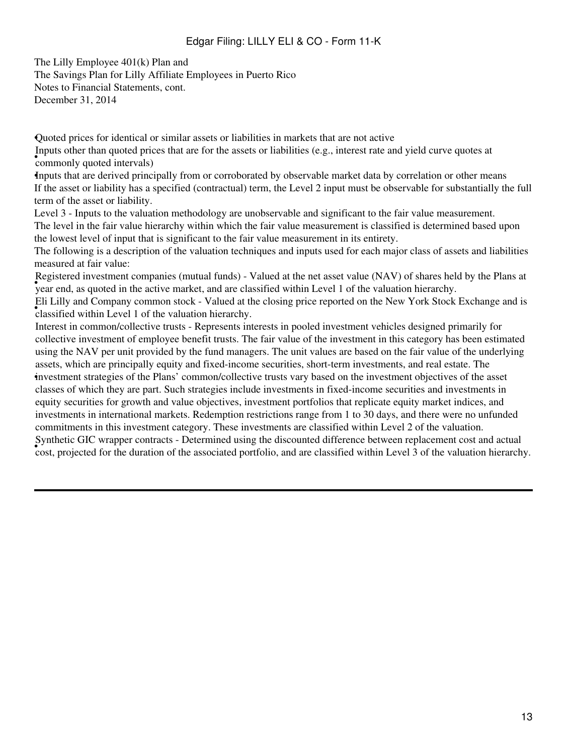The Lilly Employee 401(k) Plan and The Savings Plan for Lilly Affiliate Employees in Puerto Rico Notes to Financial Statements, cont. December 31, 2014

•Quoted prices for identical or similar assets or liabilities in markets that are not active

• **commonly** quoted intervals) Inputs other than quoted prices that are for the assets or liabilities (e.g., interest rate and yield curve quotes at

Inputs that are derived principally from or corroborated by observable market data by correlation or other means If the asset or liability has a specified (contractual) term, the Level 2 input must be observable for substantially the full term of the asset or liability.

Level 3 - Inputs to the valuation methodology are unobservable and significant to the fair value measurement. The level in the fair value hierarchy within which the fair value measurement is classified is determined based upon the lowest level of input that is significant to the fair value measurement in its entirety.

The following is a description of the valuation techniques and inputs used for each major class of assets and liabilities measured at fair value:

year end, as quoted in the active market, and are classified within Level 1 of the valuation hierarchy. Registered investment companies (mutual funds) - Valued at the net asset value (NAV) of shares held by the Plans at

**EXECUTE 1** and Company Common stock valued at a classified within Level 1 of the valuation hierarchy. Eli Lilly and Company common stock - Valued at the closing price reported on the New York Stock Exchange and is

• investment strategies of the Plans' common/collective trusts vary based on the investment objectives of the asset Interest in common/collective trusts - Represents interests in pooled investment vehicles designed primarily for collective investment of employee benefit trusts. The fair value of the investment in this category has been estimated using the NAV per unit provided by the fund managers. The unit values are based on the fair value of the underlying assets, which are principally equity and fixed-income securities, short-term investments, and real estate. The classes of which they are part. Such strategies include investments in fixed-income securities and investments in equity securities for growth and value objectives, investment portfolios that replicate equity market indices, and investments in international markets. Redemption restrictions range from 1 to 30 days, and there were no unfunded commitments in this investment category. These investments are classified within Level 2 of the valuation. • cost, projected for the duration of the associated portfolio, and are classified within Level 3 of the valuation hierarchy. Synthetic GIC wrapper contracts - Determined using the discounted difference between replacement cost and actual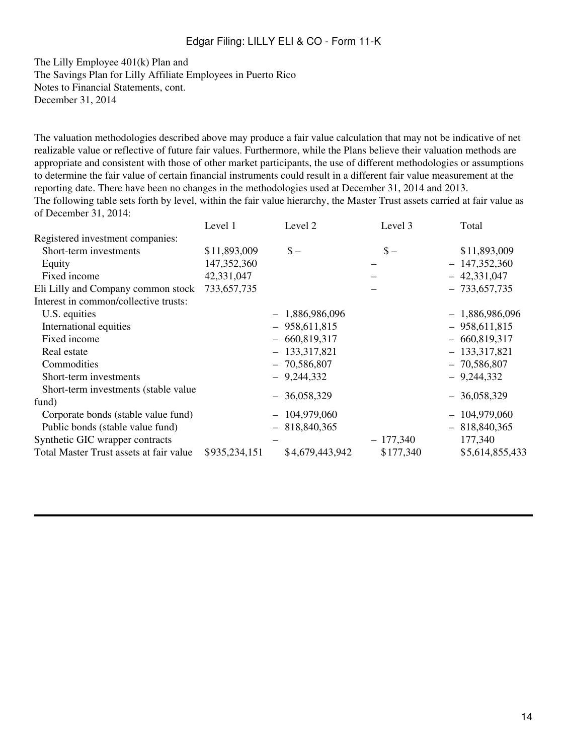The Lilly Employee 401(k) Plan and The Savings Plan for Lilly Affiliate Employees in Puerto Rico Notes to Financial Statements, cont. December 31, 2014

The valuation methodologies described above may produce a fair value calculation that may not be indicative of net realizable value or reflective of future fair values. Furthermore, while the Plans believe their valuation methods are appropriate and consistent with those of other market participants, the use of different methodologies or assumptions to determine the fair value of certain financial instruments could result in a different fair value measurement at the reporting date. There have been no changes in the methodologies used at December 31, 2014 and 2013. The following table sets forth by level, within the fair value hierarchy, the Master Trust assets carried at fair value as of December 31, 2014:

|                                                                         | Level 1       | Level 2                          | Level 3        | Total                            |
|-------------------------------------------------------------------------|---------------|----------------------------------|----------------|----------------------------------|
| Registered investment companies:                                        |               |                                  |                |                                  |
| Short-term investments                                                  | \$11,893,009  | $$ -$                            | $\mathcal{S}-$ | \$11,893,009                     |
| Equity                                                                  | 147, 352, 360 |                                  |                | $-147,352,360$                   |
| Fixed income                                                            | 42,331,047    |                                  |                | $-42,331,047$                    |
| Eli Lilly and Company common stock                                      | 733,657,735   |                                  |                | $-733,657,735$                   |
| Interest in common/collective trusts:                                   |               |                                  |                |                                  |
| U.S. equities                                                           |               | $-1,886,986,096$                 |                | $-1,886,986,096$                 |
| International equities                                                  |               | $-958,611,815$                   |                | $-958,611,815$                   |
| Fixed income                                                            |               | $-660,819,317$                   |                | $-660,819,317$                   |
| Real estate                                                             |               | $-133,317,821$                   |                | $-133,317,821$                   |
| Commodities                                                             |               | $-70,586,807$                    |                | $-70,586,807$                    |
| Short-term investments                                                  |               | $-9,244,332$                     |                | $-9,244,332$                     |
| Short-term investments (stable value<br>fund)                           |               | $-36,058,329$                    |                | $-36,058,329$                    |
| Corporate bonds (stable value fund)<br>Public bonds (stable value fund) |               | $-104,979,060$<br>$-818,840,365$ |                | $-104,979,060$<br>$-818,840,365$ |
| Synthetic GIC wrapper contracts                                         |               |                                  | $-177,340$     | 177,340                          |
| Total Master Trust assets at fair value                                 | \$935,234,151 | \$4,679,443,942                  | \$177,340      | \$5,614,855,433                  |
|                                                                         |               |                                  |                |                                  |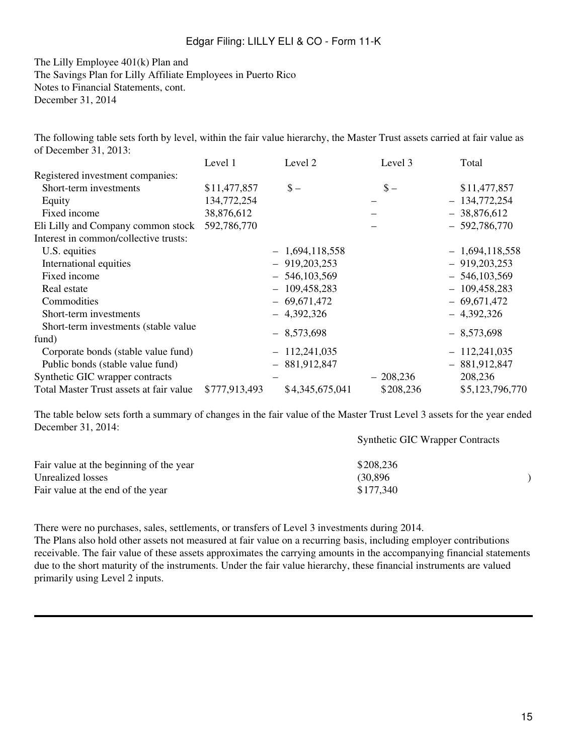The Lilly Employee 401(k) Plan and The Savings Plan for Lilly Affiliate Employees in Puerto Rico Notes to Financial Statements, cont. December 31, 2014

The following table sets forth by level, within the fair value hierarchy, the Master Trust assets carried at fair value as of December 31, 2013:

|                                         | Level 1       | Level 2          | Level 3        | Total            |
|-----------------------------------------|---------------|------------------|----------------|------------------|
| Registered investment companies:        |               |                  |                |                  |
| Short-term investments                  | \$11,477,857  | $S -$            | $\mathcal{S}-$ | \$11,477,857     |
| Equity                                  | 134,772,254   |                  |                | $-134,772,254$   |
| Fixed income                            | 38,876,612    |                  |                | $-38,876,612$    |
| Eli Lilly and Company common stock      | 592,786,770   |                  |                | $-592,786,770$   |
| Interest in common/collective trusts:   |               |                  |                |                  |
| U.S. equities                           |               | $-1,694,118,558$ |                | $-1,694,118,558$ |
| International equities                  |               | $-919,203,253$   |                | $-919,203,253$   |
| Fixed income                            |               | $-546,103,569$   |                | $-546,103,569$   |
| Real estate                             |               | $-109,458,283$   |                | $-109,458,283$   |
| Commodities                             |               | $-69,671,472$    |                | $-69,671,472$    |
| Short-term investments                  |               | $-4,392,326$     |                | $-4,392,326$     |
| Short-term investments (stable value)   |               |                  |                |                  |
| fund)                                   |               | $-8,573,698$     |                | $-8,573,698$     |
| Corporate bonds (stable value fund)     |               | 112,241,035      |                | $-112,241,035$   |
| Public bonds (stable value fund)        |               | $-881,912,847$   |                | $-881,912,847$   |
| Synthetic GIC wrapper contracts         |               |                  | $-208,236$     | 208,236          |
| Total Master Trust assets at fair value | \$777,913,493 | \$4,345,675,041  | \$208,236      | \$5,123,796,770  |

The table below sets forth a summary of changes in the fair value of the Master Trust Level 3 assets for the year ended December 31, 2014:

Synthetic GIC Wrapper Contracts

| Fair value at the beginning of the year | \$208,236 |
|-----------------------------------------|-----------|
| Unrealized losses                       | (30.896)  |
| Fair value at the end of the year       | \$177,340 |

There were no purchases, sales, settlements, or transfers of Level 3 investments during 2014.

The Plans also hold other assets not measured at fair value on a recurring basis, including employer contributions receivable. The fair value of these assets approximates the carrying amounts in the accompanying financial statements due to the short maturity of the instruments. Under the fair value hierarchy, these financial instruments are valued primarily using Level 2 inputs.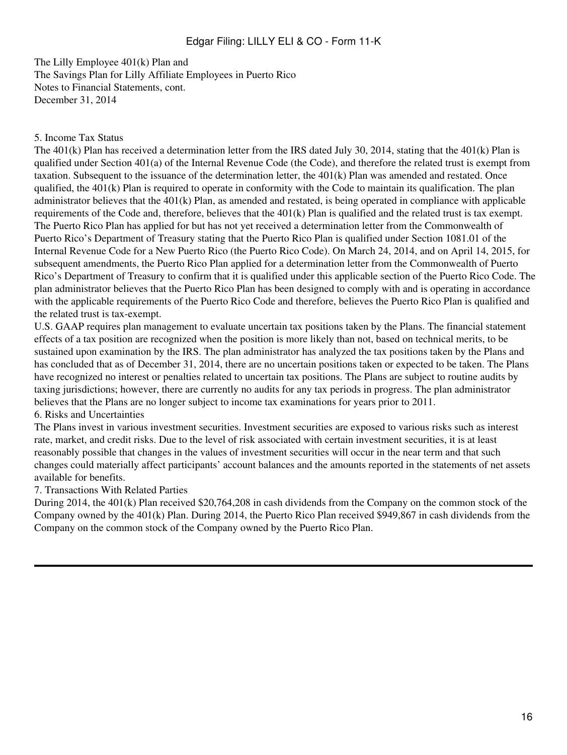The Lilly Employee 401(k) Plan and The Savings Plan for Lilly Affiliate Employees in Puerto Rico Notes to Financial Statements, cont. December 31, 2014

#### 5. Income Tax Status

The 401(k) Plan has received a determination letter from the IRS dated July 30, 2014, stating that the 401(k) Plan is qualified under Section 401(a) of the Internal Revenue Code (the Code), and therefore the related trust is exempt from taxation. Subsequent to the issuance of the determination letter, the 401(k) Plan was amended and restated. Once qualified, the  $401(k)$  Plan is required to operate in conformity with the Code to maintain its qualification. The plan administrator believes that the  $401(k)$  Plan, as amended and restated, is being operated in compliance with applicable requirements of the Code and, therefore, believes that the 401(k) Plan is qualified and the related trust is tax exempt. The Puerto Rico Plan has applied for but has not yet received a determination letter from the Commonwealth of Puerto Rico's Department of Treasury stating that the Puerto Rico Plan is qualified under Section 1081.01 of the Internal Revenue Code for a New Puerto Rico (the Puerto Rico Code). On March 24, 2014, and on April 14, 2015, for subsequent amendments, the Puerto Rico Plan applied for a determination letter from the Commonwealth of Puerto Rico's Department of Treasury to confirm that it is qualified under this applicable section of the Puerto Rico Code. The plan administrator believes that the Puerto Rico Plan has been designed to comply with and is operating in accordance with the applicable requirements of the Puerto Rico Code and therefore, believes the Puerto Rico Plan is qualified and the related trust is tax-exempt.

U.S. GAAP requires plan management to evaluate uncertain tax positions taken by the Plans. The financial statement effects of a tax position are recognized when the position is more likely than not, based on technical merits, to be sustained upon examination by the IRS. The plan administrator has analyzed the tax positions taken by the Plans and has concluded that as of December 31, 2014, there are no uncertain positions taken or expected to be taken. The Plans have recognized no interest or penalties related to uncertain tax positions. The Plans are subject to routine audits by taxing jurisdictions; however, there are currently no audits for any tax periods in progress. The plan administrator believes that the Plans are no longer subject to income tax examinations for years prior to 2011.

#### 6. Risks and Uncertainties

The Plans invest in various investment securities. Investment securities are exposed to various risks such as interest rate, market, and credit risks. Due to the level of risk associated with certain investment securities, it is at least reasonably possible that changes in the values of investment securities will occur in the near term and that such changes could materially affect participants' account balances and the amounts reported in the statements of net assets available for benefits.

#### 7. Transactions With Related Parties

During 2014, the 401(k) Plan received \$20,764,208 in cash dividends from the Company on the common stock of the Company owned by the 401(k) Plan. During 2014, the Puerto Rico Plan received \$949,867 in cash dividends from the Company on the common stock of the Company owned by the Puerto Rico Plan.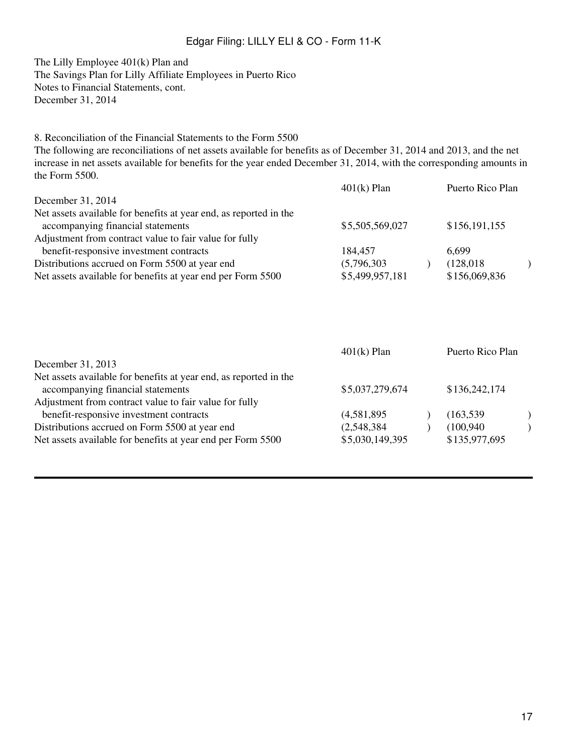The Lilly Employee 401(k) Plan and The Savings Plan for Lilly Affiliate Employees in Puerto Rico Notes to Financial Statements, cont. December 31, 2014

8. Reconciliation of the Financial Statements to the Form 5500

The following are reconciliations of net assets available for benefits as of December 31, 2014 and 2013, and the net increase in net assets available for benefits for the year ended December 31, 2014, with the corresponding amounts in the Form 5500.

| December 31, 2014                                                                               |  |
|-------------------------------------------------------------------------------------------------|--|
|                                                                                                 |  |
| Net assets available for benefits at year end, as reported in the                               |  |
| \$5,505,569,027<br>\$156,191,155<br>accompanying financial statements                           |  |
| Adjustment from contract value to fair value for fully                                          |  |
| benefit-responsive investment contracts<br>184,457<br>6,699                                     |  |
| Distributions accrued on Form 5500 at year end<br>(128, 018)<br>(5,796,303)                     |  |
| \$156,069,836<br>Net assets available for benefits at year end per Form 5500<br>\$5,499,957,181 |  |

|                                                                   | $401(k)$ Plan   | Puerto Rico Plan |  |
|-------------------------------------------------------------------|-----------------|------------------|--|
| December 31, 2013                                                 |                 |                  |  |
| Net assets available for benefits at year end, as reported in the |                 |                  |  |
| accompanying financial statements                                 | \$5,037,279,674 | \$136,242,174    |  |
| Adjustment from contract value to fair value for fully            |                 |                  |  |
| benefit-responsive investment contracts                           | (4,581,895)     | (163, 539)       |  |
| Distributions accrued on Form 5500 at year end                    | (2,548,384)     | (100,940)        |  |
| Net assets available for benefits at year end per Form 5500       | \$5,030,149,395 | \$135,977,695    |  |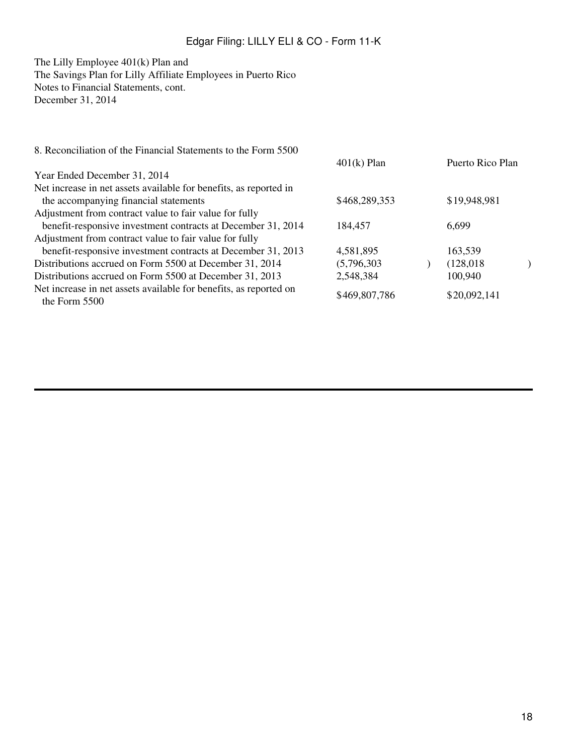The Lilly Employee 401(k) Plan and The Savings Plan for Lilly Affiliate Employees in Puerto Rico Notes to Financial Statements, cont. December 31, 2014

| 8. Reconciliation of the Financial Statements to the Form 5500                     |               |                  |  |
|------------------------------------------------------------------------------------|---------------|------------------|--|
|                                                                                    | $401(k)$ Plan | Puerto Rico Plan |  |
| Year Ended December 31, 2014                                                       |               |                  |  |
| Net increase in net assets available for benefits, as reported in                  |               |                  |  |
| the accompanying financial statements                                              | \$468,289,353 | \$19,948,981     |  |
| Adjustment from contract value to fair value for fully                             |               |                  |  |
| benefit-responsive investment contracts at December 31, 2014                       | 184.457       | 6,699            |  |
| Adjustment from contract value to fair value for fully                             |               |                  |  |
| benefit-responsive investment contracts at December 31, 2013                       | 4,581,895     | 163,539          |  |
| Distributions accrued on Form 5500 at December 31, 2014                            | (5,796,303)   | (128,018)        |  |
| Distributions accrued on Form 5500 at December 31, 2013                            | 2,548,384     | 100,940          |  |
| Net increase in net assets available for benefits, as reported on<br>the Form 5500 | \$469,807,786 | \$20,092,141     |  |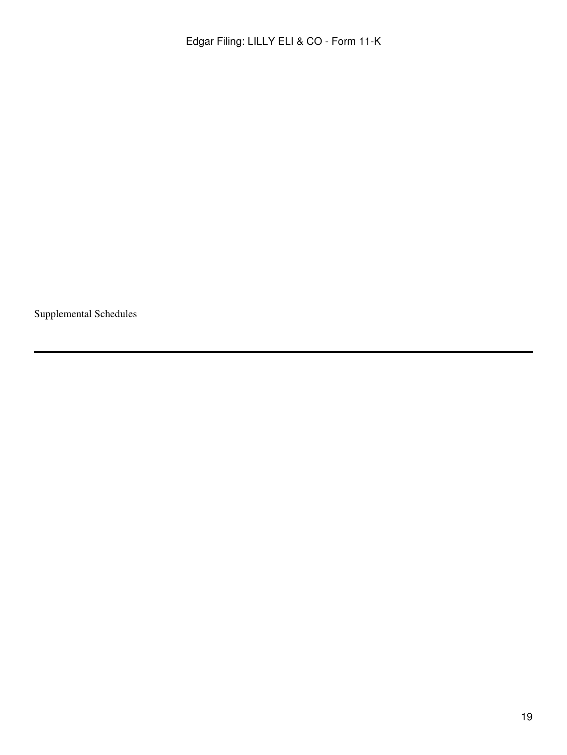Supplemental Schedules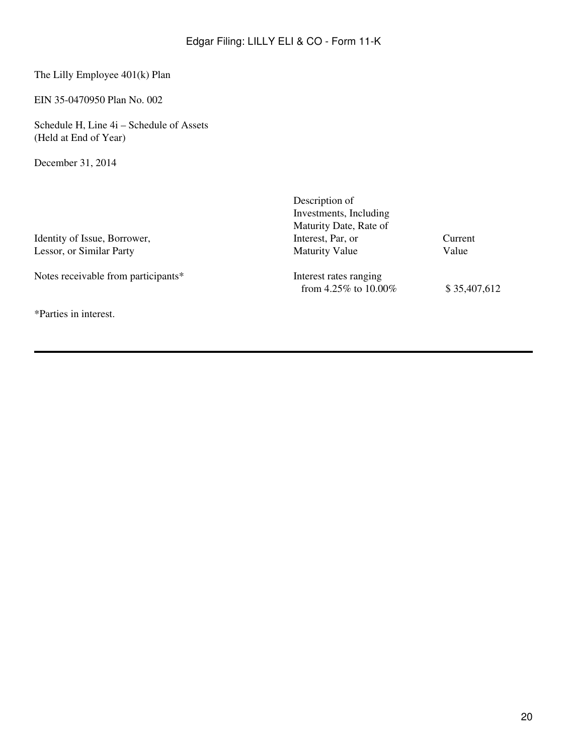The Lilly Employee 401(k) Plan

EIN 35-0470950 Plan No. 002

Schedule H, Line 4i – Schedule of Assets (Held at End of Year)

December 31, 2014

Identity of Issue, Borrower, Interest, Par, or Current Lessor, or Similar Party **Maturity Value** Value Value Value

Notes receivable from participants\* Interest rates ranging

\*Parties in interest.

Description of Investments, Including Maturity Date, Rate of<br>Interest, Par, or

from 4.25% to 10.00% \$ 35,407,612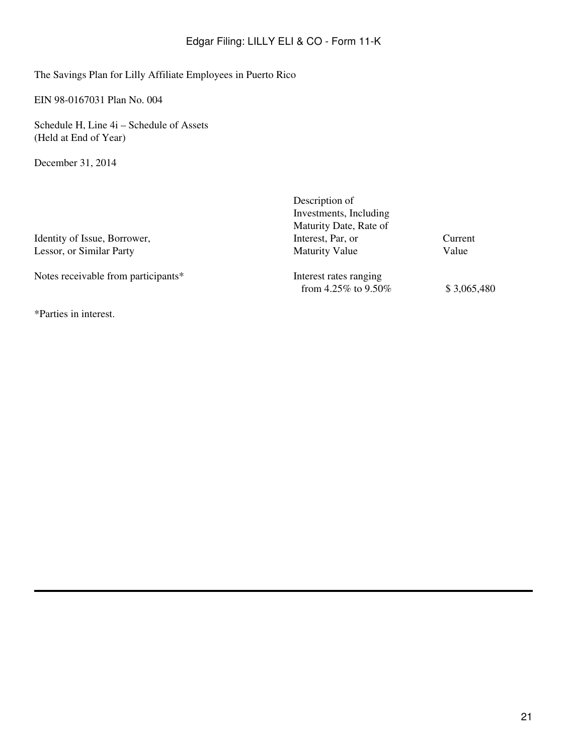The Savings Plan for Lilly Affiliate Employees in Puerto Rico

EIN 98-0167031 Plan No. 004

Schedule H, Line 4i – Schedule of Assets (Held at End of Year)

December 31, 2014

Identity of Issue, Borrower, Interest, Par, or Current Lessor, or Similar Party **Maturity Value** Value Value Value

Notes receivable from participants\* Interest rates ranging

\*Parties in interest.

Description of Investments, Including Maturity Date, Rate of<br>Interest, Par, or

from 4.25% to 9.50% \$ 3,065,480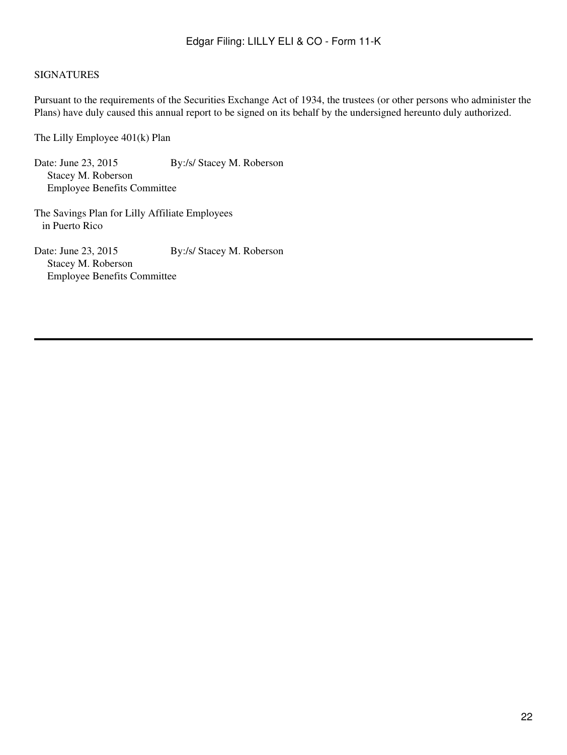#### SIGNATURES

Pursuant to the requirements of the Securities Exchange Act of 1934, the trustees (or other persons who administer the Plans) have duly caused this annual report to be signed on its behalf by the undersigned hereunto duly authorized.

The Lilly Employee 401(k) Plan

Date: June 23, 2015 By:/s/ Stacey M. Roberson Stacey M. Roberson Employee Benefits Committee

The Savings Plan for Lilly Affiliate Employees in Puerto Rico

Date: June 23, 2015 By:/s/ Stacey M. Roberson Stacey M. Roberson Employee Benefits Committee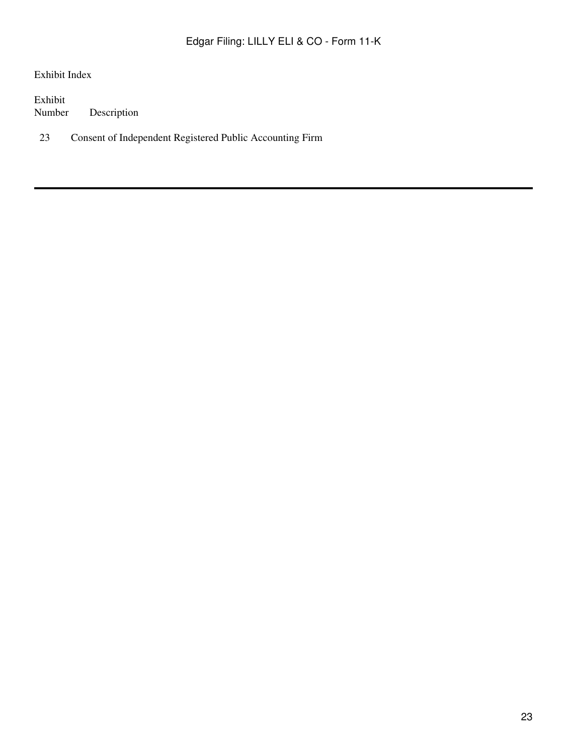Exhibit Index

Exhibit Description

23 Consent of Independent Registered Public Accounting Firm